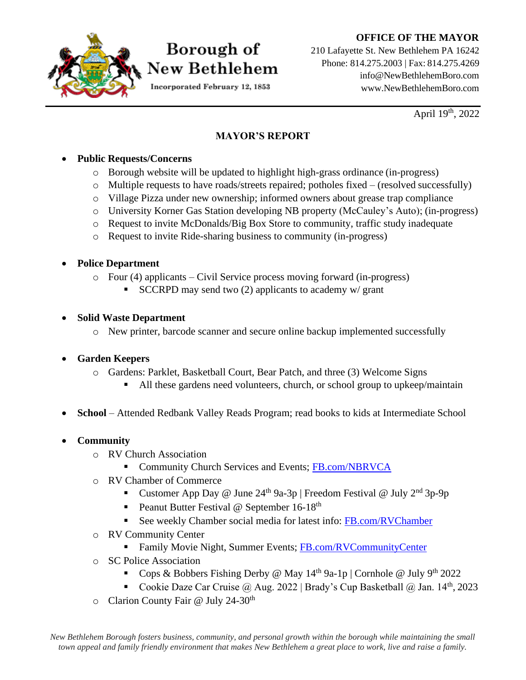### **OFFICE OF THE MAYOR**



## Borough of New Bethlehem

Incorporated February 12, 1853

210 Lafayette St. New Bethlehem PA 16242 Phone: 814.275.2003 | Fax: 814.275.4269 [info@NewBethlehemBoro.com](mailto:info@NewBethlehemBoro.com) [www.NewBethlehemBoro.com](http://www.newbethlehemboro.com/)

April  $19^{th}$ , 2022

### **MAYOR'S REPORT**

### • **Public Requests/Concerns**

- o Borough website will be updated to highlight high-grass ordinance (in-progress)
- $\circ$  Multiple requests to have roads/streets repaired; potholes fixed (resolved successfully)
- o Village Pizza under new ownership; informed owners about grease trap compliance
- o University Korner Gas Station developing NB property (McCauley's Auto); (in-progress)
- o Request to invite McDonalds/Big Box Store to community, traffic study inadequate
- o Request to invite Ride-sharing business to community (in-progress)

### • **Police Department**

- o Four (4) applicants Civil Service process moving forward (in-progress)
	- **SCCRPD** may send two  $(2)$  applicants to academy w/ grant
- **Solid Waste Department**
	- o New printer, barcode scanner and secure online backup implemented successfully

### • **Garden Keepers**

- o Gardens: Parklet, Basketball Court, Bear Patch, and three (3) Welcome Signs
	- All these gardens need volunteers, church, or school group to upkeep/maintain
- **School**  Attended Redbank Valley Reads Program; read books to kids at Intermediate School
- **Community**
	- o RV Church Association
		- **EXECUTE:** Community Church Services and Events; [FB.com/NBRVCA](http://fb.com/NBRVCA)
	- o RV Chamber of Commerce
		- Customer App Day @ June  $24<sup>th</sup>$  9a-3p | Freedom Festival @ July  $2<sup>nd</sup>$  3p-9p
		- **•** Peanut Butter Festival @ September  $16-18$ <sup>th</sup>
		- See weekly Chamber social media for latest info: [FB.com/RVChamber](http://www.facebook.com/RVChamber)
	- o RV Community Center
		- **EXECUTE:** Family Movie Night, Summer Events; [FB.com/RVCommunityCenter](http://facebook.com/RVCommunityCenter)
	- o SC Police Association
		- **•** Cops & Bobbers Fishing Derby @ May  $14^{th}$  9a-1p | Cornhole @ July 9<sup>th</sup> 2022
		- Cookie Daze Car Cruise @ Aug. 2022 | Brady's Cup Basketball @ Jan. 14<sup>th</sup>, 2023
	- o Clarion County Fair @ July 24-30<sup>th</sup>